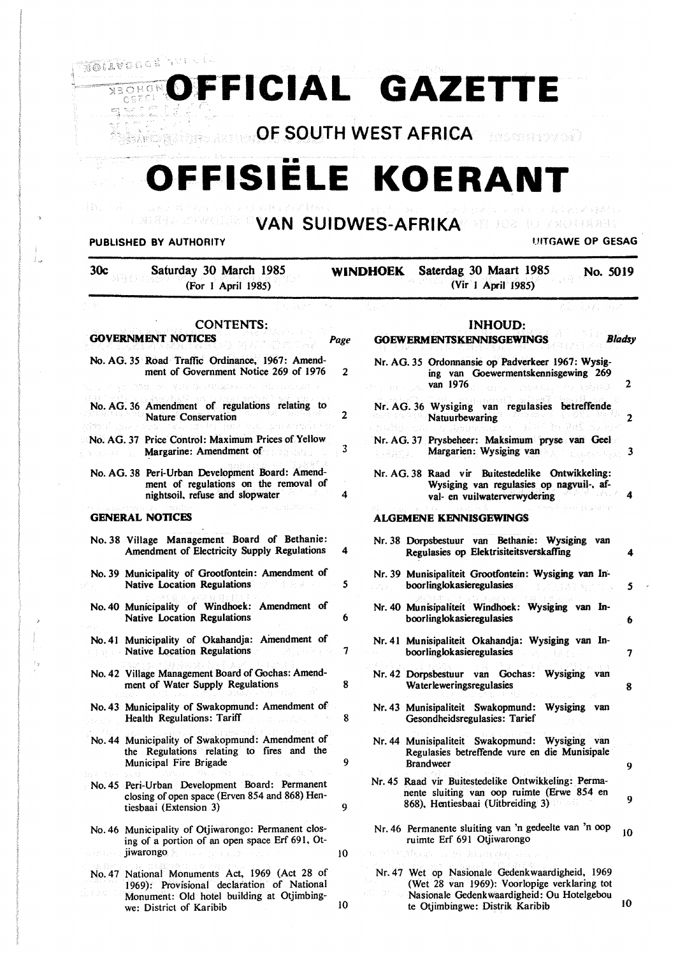#### **FOREX OFFICIAL GAZETTE OF SOUTH WEST AFRICA**  - hesternowed FFISIËLE KOERAN **VAN SUIDWES-AFRIKA**  277 年の2 年1 7 足げ付き発行 **PUBLISHED BY AUTHORITY THE CONSTRUCTION OF AUTHORITY UITGAWE OP GESAG** 30c Saturday 30 March 1985 **WINDHOEK** Saterdag 30 Maart 1985 No. 5019 (For I April 1985) (Vir I April 1985) CONTENTS: **INHOUD: GOVERNMENT NOTICES**  Page **GOEWERMENTSKENNISGEWINGS** *Bladsy*  No. AG. *35* Road Traffic Ordinance. 1967: Amend-Nr. AG. 35 Ordonnansie op Padverkeer 1967: Wysigment of Government Notice 269 of 1976  $\overline{2}$ ing van Goewermentskennisgewing 269 van 1976  $\overline{2}$ No. AG. 36 Amendment of regulations relating to Nr. AG. 36 Wysiging van regulasies betreffende 2 Nature Conservation Natuurbewaring 2 No. AG. 37 Price Control: Maximum Prices of Yellow Nr. AG. 37 Prysbeheer: Maksimum pryse van Geel 3 Margarine: Amendment of Margarien: Wysiging van 3 No. AG. 38 Peri-Urban Development Board: Amend-Nr. AG. 38 Raad vir Buitestedelike Ontwikkeling: ment of regulations on the removal of Wysiging van regulasies op nagvuil-, afnightsoil. refuse and slopwater 4 4 val- en vuilwaterverwydering **GENERAL NOTICES ALGEMENE KENNISGEWJNGS**  No. 38 Village Management Board of Bethanie: Nr. 38 Dorpsbestuur van Bethanie: Wysiging van Regulasies op Elektrisiteitsverskaffing 4 Amendment of Electricity Supply Regulations 4 No. 39 Municipality of Grootfontein: Amendment of Nr. 39 Munisipaliteit Grootfontein: Wysiging van In-Native Location Regulations *5*  boorlinglokasieregulasies *5*  No. 40 Municipality of Windhoek: Amendment of Nr. 40 Munisipaliteit Windhoek: Wysiging van In-Native Location Regulations 6 boorlinglokasieregulasies 6 No. 41 Municipality of Okahandja: Amendment of Nr. 41 Munisipaliteit Okahandja: Wysiging van In-Native Location Regulations 7 boorlinglokasieregulasies 7 No. 42 Village Management Board of Gochas: Amend-Nr. 42 Dorpsbestuur van Gochas: Wysiging van Waterleweringsregulasies 8 ment of Water Supply Regulations 8 No. 43 Municipality of Swakopmund: Amendment of Nr. 43 Munisipaliteit Swakopmund: Wysiging van Health Regulations: Tariff 8 8 Gesondheidsregulasies: Tarief No. 44 Municipality of Swakopmund: Amendment of Nr. 44 Munisipaliteit Swakopmund: Wysiging van the Regulations relating to fires and the Regulasies betreffende vure en die Munisipale Municipal Fire Brigade 9 Brandweer 9 Nr. 45 Raad vir Buitestedelike Ontwikkeling: Perma-No. 45 Peri-Urban Development Board: Permanent nente sluiting van oop ruimte (Erwe 854 en closing of open space (Erven 854 and 868) Hen-9 868). Hentiesbaai (Uitbreiding 3) tiesbaai (Extension 3) 9 Nr. 46 Permanente sluiting van 'n gedeelte van 'n oop  $_{10}$ No. 46 Municipality of Otjiwarongo: Permanent closing of a portion of an open space Erf 691. Otruimte Erf 691 Otjiwarongo jiwarongo **IO** No. 47 National Monuments Act. 1969 (Act 28 of Nr. 47 Wet op Nasionale Gedenkwaardigheid. 1969 (Wet 28 van 1969): Voorlopige verklaring tot 1969): Provisional declaration of National Nasionale Gedenkwaardigheid: Ou Hotelgebou Monument: Old hotel building at Otjimbingte Otjimbingwe: Distrik Karibib 10 we: District of Karibib 10

Ť.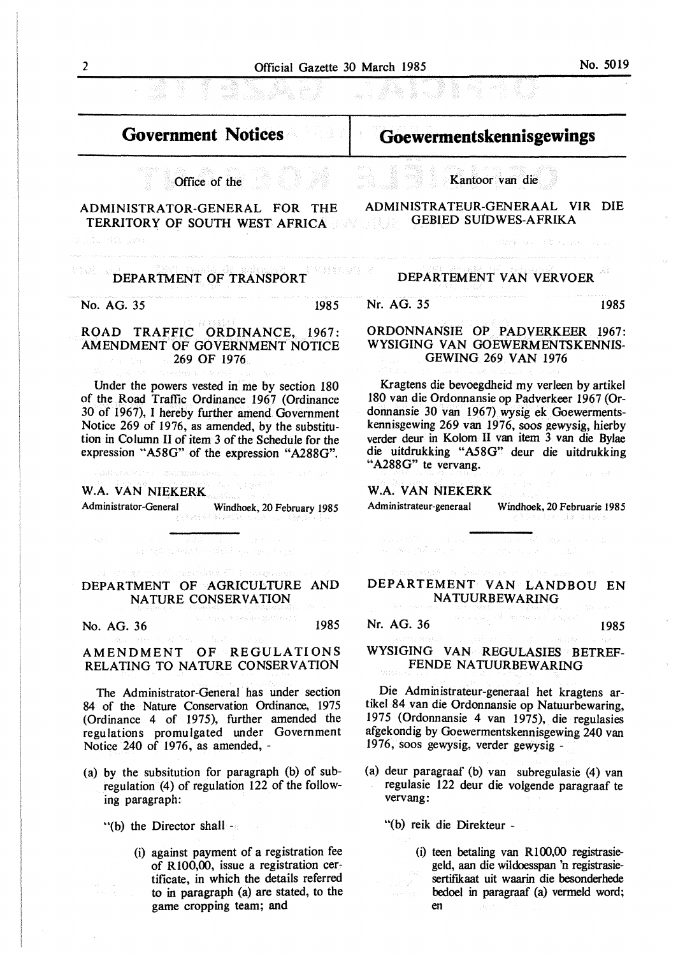| Official Gazette 30 March 1985 | No. 5019 |
|--------------------------------|----------|
|                                |          |

 $\bar{\gamma}$ 

 $\tilde{\gamma}$ 

| <b>Government Notices</b>                                                                                                                                                                                                                                                                                                                                                                                                                                                                                                                                                                                                                                                                                                                                             | Goewermentskennisgewings                                                                                                                                                                                                                                                                                                       |  |
|-----------------------------------------------------------------------------------------------------------------------------------------------------------------------------------------------------------------------------------------------------------------------------------------------------------------------------------------------------------------------------------------------------------------------------------------------------------------------------------------------------------------------------------------------------------------------------------------------------------------------------------------------------------------------------------------------------------------------------------------------------------------------|--------------------------------------------------------------------------------------------------------------------------------------------------------------------------------------------------------------------------------------------------------------------------------------------------------------------------------|--|
| Office of the                                                                                                                                                                                                                                                                                                                                                                                                                                                                                                                                                                                                                                                                                                                                                         | <b>Single 表 サウト Single</b><br>Kantoor van die                                                                                                                                                                                                                                                                                  |  |
| ADMINISTRATOR-GENERAL FOR THE<br>TERRITORY OF SOUTH WEST AFRICA<br>24.5.18.73氪 金融系统                                                                                                                                                                                                                                                                                                                                                                                                                                                                                                                                                                                                                                                                                   | ADMINISTRATEUR-GENERAAL VIR DIE<br><b>GEBIED SUIDWES-AFRIKA</b><br>나는 경제 결과 시<br>オーラインのこちょう 子弟 けいおくし しょくい                                                                                                                                                                                                                      |  |
| DEPARTMENT OF TRANSPORT                                                                                                                                                                                                                                                                                                                                                                                                                                                                                                                                                                                                                                                                                                                                               | <b>RABA</b> FIRE SAN<br>DEPARTEMENT VAN VERVOER                                                                                                                                                                                                                                                                                |  |
| No. AG. 35<br>1985                                                                                                                                                                                                                                                                                                                                                                                                                                                                                                                                                                                                                                                                                                                                                    | Nr. AG. 35<br>1985                                                                                                                                                                                                                                                                                                             |  |
|                                                                                                                                                                                                                                                                                                                                                                                                                                                                                                                                                                                                                                                                                                                                                                       |                                                                                                                                                                                                                                                                                                                                |  |
| ROAD TRAFFIC ORDINANCE, 1967:<br>AMENDMENT OF GOVERNMENT NOTICE<br><b>269 OF 1976</b><br>The contract of the contract of the state of the contract of the contract of the contract of the contract of the contract of the contract of the contract of the contract of the contract of the contract of the contract of t                                                                                                                                                                                                                                                                                                                                                                                                                                               | ORDONNANSIE OP PADVERKEER 1967:<br>WYSIGING VAN GOEWERMENTSKENNIS-<br><b>GEWING 269 VAN 1976</b><br>みずい おおね ないこうしゃ                                                                                                                                                                                                             |  |
| Under the powers vested in me by section 180<br>of the Road Traffic Ordinance 1967 (Ordinance<br>30 of 1967), I hereby further amend Government<br>Notice 269 of 1976, as amended, by the substitu-<br>tion in Column II of item 3 of the Schedule for the<br>expression "A58G" of the expression "A288G".<br>$\mathcal{L}_{\mathcal{A}}(\mathcal{L}^{\mathcal{A}}(\mathcal{M},\mathcal{A}^{\mathcal{A}}(\mathcal{M},\mathcal{A}^{\mathcal{A}}(\mathcal{M})))\otimes\mathcal{L}_{\mathcal{A}}(\mathcal{A}^{\mathcal{A}}(\mathcal{M},\mathcal{A}^{\mathcal{A}}(\mathcal{M})))\otimes\mathcal{L}_{\mathcal{A}}(\mathcal{A}^{\mathcal{A}}(\mathcal{M},\mathcal{A}^{\mathcal{A}}(\mathcal{M})))\otimes\mathcal{L}_{\mathcal{A}}(\mathcal{A}^{\mathcal{A}}(\mathcal{M})),$ | Kragtens die bevoegdheid my verleen by artikel<br>180 van die Ordonnansie op Padverkeer 1967 (Or-<br>donnansie 30 van 1967) wysig ek Goewerments-<br>kennisgewing 269 van 1976, soos gewysig, hierby<br>verder deur in Kolom II van item 3 van die Bylae<br>die uitdrukking "A58G" deur die uitdrukking<br>"A288G" te vervang. |  |
| W.A. VAN NIEKERK                                                                                                                                                                                                                                                                                                                                                                                                                                                                                                                                                                                                                                                                                                                                                      | W.A. VAN NIEKERK                                                                                                                                                                                                                                                                                                               |  |
| Administrator-General Windhoek, 20 February 1985<br>[사용] 12 : 2012 - 12 : 12 : 12 : 12 : 12 : 12                                                                                                                                                                                                                                                                                                                                                                                                                                                                                                                                                                                                                                                                      | Administrateur-generaal<br>Windhoek, 20 Februarie 1985<br>经管理 经经济的 计算机单位 经转让                                                                                                                                                                                                                                                   |  |
| <b>2. 《中国》 第二十二 法禁止 医第二十二种</b><br>na Bilton<br>so and market could be go more been.                                                                                                                                                                                                                                                                                                                                                                                                                                                                                                                                                                                                                                                                                   | in a character of the state of the state of the state of the state of the state of the state of the state of the                                                                                                                                                                                                               |  |
| also a magnetic collection della consequenza le del collection del collection del collection del collection de<br>DEPARTMENT OF AGRICULTURE AND<br>NATURE CONSERVATION                                                                                                                                                                                                                                                                                                                                                                                                                                                                                                                                                                                                | a masara budo ng Pedangang ng naturisyon ng Palas<br>DEPARTEMENT VAN LANDBOU EN<br>NATUURBEWARING                                                                                                                                                                                                                              |  |
| 化二甲基氯化钾 网络希腊人 医结肠下颌的<br>1985<br>No. AG. 36                                                                                                                                                                                                                                                                                                                                                                                                                                                                                                                                                                                                                                                                                                                            | and and offer more all shirts<br>Nr. AG. 36<br>1985                                                                                                                                                                                                                                                                            |  |
| on and greater of the confidence of the<br>AMENDMENT OF REGULATIONS<br>RELATING TO NATURE CONSERVATION                                                                                                                                                                                                                                                                                                                                                                                                                                                                                                                                                                                                                                                                | an mediatelje († 1. september – Jan J. L. Bergka, J. J. Har<br>WYSIGING VAN REGULASIES BETREF-<br>FENDE NATUURBEWARING                                                                                                                                                                                                         |  |
| The Administrator-General has under section<br>84 of the Nature Conservation Ordinance, 1975<br>(Ordinance 4 of 1975), further amended the<br>regulations promulgated under Government<br>Notice 240 of 1976, as amended, -                                                                                                                                                                                                                                                                                                                                                                                                                                                                                                                                           | Die Administrateur-generaal het kragtens ar-<br>tikel 84 van die Ordonnansie op Natuurbewaring,<br>1975 (Ordonnansie 4 van 1975), die regulasies<br>afgekondig by Goewermentskennisgewing 240 van<br>1976, soos gewysig, verder gewysig -                                                                                      |  |
| (a) by the subsitution for paragraph (b) of sub-<br>regulation (4) of regulation 122 of the follow-<br>ing paragraph:                                                                                                                                                                                                                                                                                                                                                                                                                                                                                                                                                                                                                                                 | (a) deur paragraaf (b) van subregulasie (4) van<br>regulasie 122 deur die volgende paragraaf te<br>vervang:                                                                                                                                                                                                                    |  |
| "(b) the Director shall                                                                                                                                                                                                                                                                                                                                                                                                                                                                                                                                                                                                                                                                                                                                               | "(b) reik die Direkteur -                                                                                                                                                                                                                                                                                                      |  |
| (i) against payment of a registration fee<br>of R100,00, issue a registration cer-<br>tificate, in which the details referred<br>to in paragraph (a) are stated, to the                                                                                                                                                                                                                                                                                                                                                                                                                                                                                                                                                                                               | (i) teen betaling van R100,00 registrasie-<br>geld, aan die wildoesspan 'n registrasie-<br>sertifikaat uit waarin die besonderhede<br>bedoel in paragraaf (a) vermeld word;                                                                                                                                                    |  |

game cropping team; and

en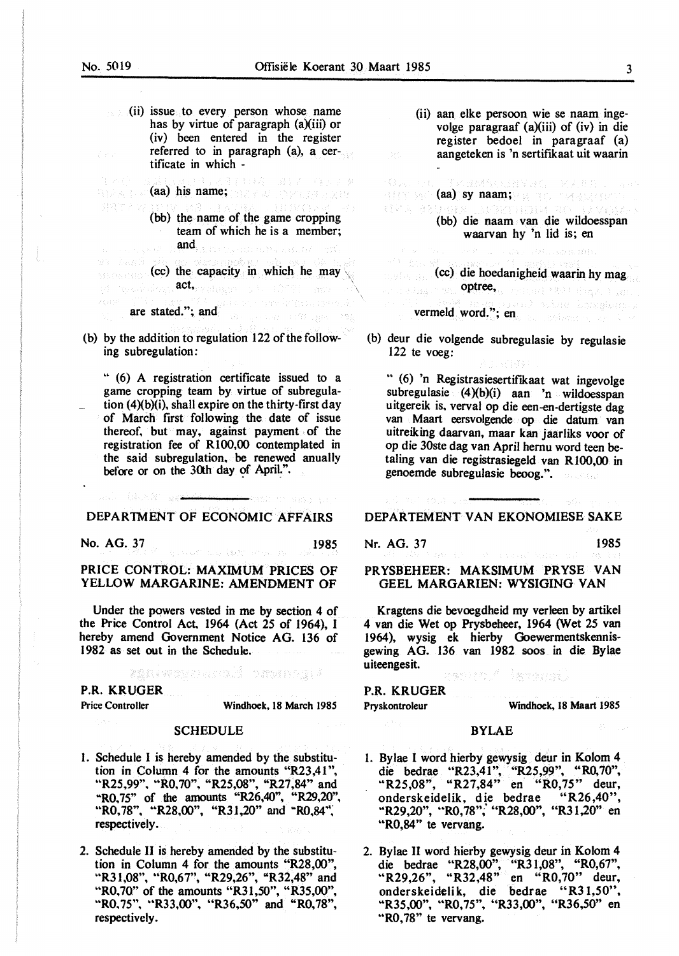- (ii) issue to every person whose name has by virtue of paragraph (a)(iii) or (iv) been entered in the register referred to in paragraph (a), a certificate in which -
- (aa) his name; barren belangraphe
	- (bb) the name of the game cropping team of which he is a member; and .<br>Geografia eta palaterra
- $\left( \text{cc} \right)$  the capacity in which he may  $\text{act}_{\text{recoherent}}$  , and  $\text{coefficient}$

are stated."; and and a state of the state of the state of the state of the state of the state of the state of the state of the state of the state of the state of the state of the state of the state of the state of the sta

(b) by the addition to regulation 122 of the following subregulation:

.. (6) A registration certificate issued to a game cropping team by virtue of subregulation  $(4)(b)(i)$ , shall expire on the thirty-first day of March first following the date of issue thereof, but may, against payment of the registration fee of Rl00,00 contemplated in the said subregulation. be renewed anuallv before or on the 30th day of April.".

#### DEPARTMENT OF ECONOMIC AFFAIRS

No. AG. 37 1985

(体大部) 2004

#### PRICE CONTROL: MAXIMUM PRICES OF YELLOW MARGARINE: AMENDMENT OF

Under the powers vested in me by section 4 of the Price Control Act, 1964 (Act 25 of 1964), I hereby amend Government Notice AG. 136 of 1982 as set out in the Schedule.

#### BRAINTECHTOLS VISINGLA

#### **P.R. KRUGER**

Price Controller Windhoek, 18 March 1985

#### **SCHEDULE**

- 1. Schedule I is hereby amended by the substitution in Column 4 for the amounts "R23,41 ", "R25,99", "R0,70", "R25,08", "R27,84" and .. RO, 75" of the amounts "R26,40", "R29,20", "R0,78", "R28,00", "R31,20" and "R0,84", respectively.
- 2. Schedule II is hereby amended by the substitution in Column 4 for the amounts "R28,00", "R31,08", "R0,67", "R29,26", "R32,48" and "R0,70" of the amounts "R31,50", "R35,00", .. RO. 75", .. R33,00", "R36,50" and "RO, 78", respectively.

(ii) aan elke persoon wie se naam ingevolge paragraaf  $(a)(iii)$  of  $(iv)$  in die register bedoel in paragraaf (a) aangeteken is 'n sertifikaat uit waarin

**Contract** 的名词复数 医细菌原石 一环美有自己 (aa) sy naam; aan is aan *maan is aan wa* **RISTA ADIBIOS** (bb) die naam van die wildoesspan waarvan hy 'n lid is; en no construcción

(cc) die hoedanigheid waarin hy mag optree, where the strength and vermeld word."; en and solve besage ones

(b) deur die volgende subregulasie by regulasie 122 te voeg:

•• (6) 'n Registrasiesertifikaat wat ingevolge subregulasie  $(4)(b)(i)$  aan 'n wildoesspan uitgereik is, verval op die een-en-dertigste dag van Maart eersvolgende op die datum van uitreiking daarvan, maar kan jaarliks voor of op die 30ste dag van April hernu word teen betaling van die registrasiegeld van **Rl00,00** in genoernde subregulasie beoog.".

DEPARTEMENT VAN EKONOMIESE SAKE

Nr. AG. 37 1985

PRYSBEHEER: MAKSIMUM PRYSE VAN GEEL MARGARIEN: WYSIGING VAN

Kragtens die bevoegdheid my verleen by artikel 4 van die Wet op Prysbeheer, 1964 (Wet 25 van 1964), wysig ek hierby Goewermentskennisgewing AG. 136 van 1982 soos in die Bylae uiteengesit. Geograf Bargon

#### P.R. KRUGER

Pryskontroleur Windhoek, 18 Maart 1985

#### BYLAE

- 1. By lae I word hierby gewysig deur in Kolom 4 die bedrae "R23,41", "R25,99", "R0,70", "R25,08", "R27,84" en "R0,75" deur, onderskeidelik, die bedrae "R26,40", "R29,20", "R0,78", "R28,00", "R31,20" en "R0,84" te vervang.
- 2. Bylae II word hierby gewysig deur in Kolom 4 die bedrae '"R28,00", "R31,08", "R0,67", "R29,26", "R32,48" en "R0,70" deur, onderskeidelik, die bedrae "R31,50", "R35,00", "R0,75", "R33,00", "R36,50" en "R0,78" te vervang.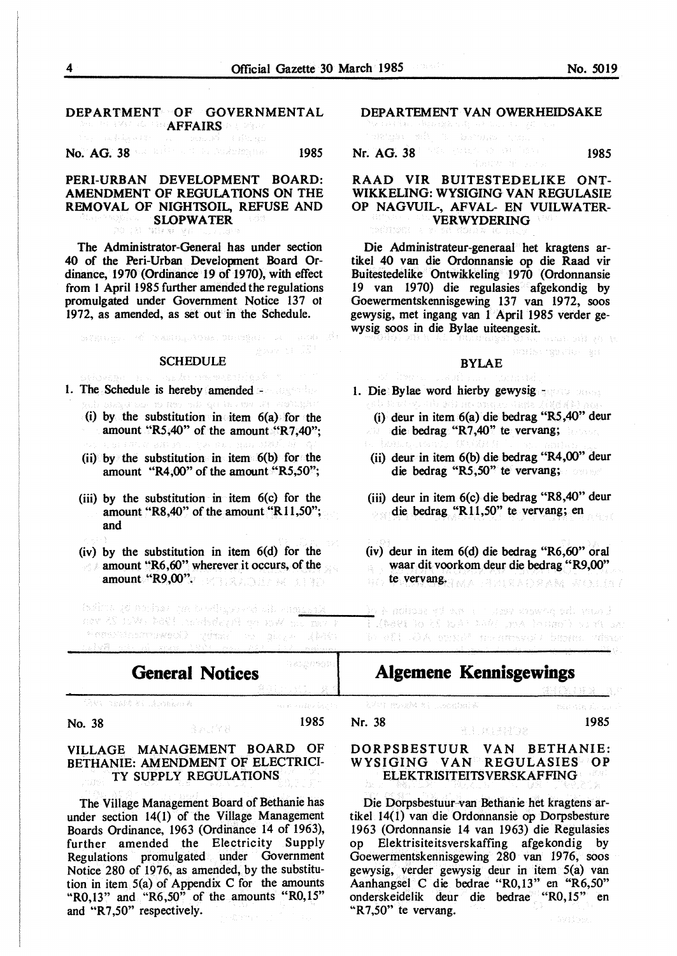# DEPARTMENT OF GOVERNMENTAL AFFAIRS OF PROPERTY OF THE STATE OF THE SEAL OF THE SEAL OF THE SEAL OF THE SEAL OF THE SEAL OF THE THE SEAL O<br>And the seal of the seal of the seal of the seal of the seal of the seal of the seal of the seal of the seal o

No. AG. 38 **1985** 1985

# **PERI-URBAN** DEVELOPMENT **BOARD: AMENDMENT** OF **REGULATIONS ON** THE **REMOVAL OF NIGHTSOIL, REFUSE AND SLOPWATER**

The Administrator-General has under section 40 of the Peri-Urban Development Board Ordinance, 1970 (Ordinance 19 of 1970), with effect from 1 April 1985 further amended the regulations promulgated under Government Notice 137 ot 1972, as amended, as set out in the Schedule.

#### **SCHEDULE**

 $\ln 2 \mathcal{R}(\mathbf{u},\mathbf{g}_\mathcal{P}), \quad \mathcal{R}^{\mathcal{C}} \quad \text{Next,} \quad \mathcal{R}(\mathbf{g}_\mathcal{P},\mathcal{N}) \text{ is a } \quad \text{and} \quad \mathcal{R}^{\mathcal{C}} \quad \text{and} \quad \mathcal{R}^{\mathcal{C}}$ 

BAR M IS

- 1. The Schedule is hereby amended and settled
	- d'as de Ros vil gu la var d'o s'olegión (i) by the substitution in item  $6(a)$  for the amount **"R5,40"** of the amount **"R7,40"**;
	- (ii) by the substitution in item  $6(b)$  for the amount **"R4,00"** of the amount **"R5,50"**;
	- (iii) by the substitution in item 6(c) for the amount "R8,40" of the amount "R11,50"; and
	- (iv) by the substitution in item 6(d) for the
	- amount "R6,60" wherever it occurs, of the amount "R9,00".

lodina (d nocho) (m beeflegs) erd alb eno<u>mori</u>s nev 20 1:W. Moth andsdelen providence ave photoshop or industry Coevernmentscore

**General Notices** 

### Avi nestê ki Azakm k

**No. 38 1985** 

#### **VILLAGE MANAGEMENT BOARD** OF **BETHANIE: AMENDMENT OF** ELECTRICI-**TY SUPPLY REGULATIONS**

The Village Management Board of Bethanie has under section 14(1) of the Village Management Boards Ordinance, 1963 (Ordinance 14 of 1963), further amended the Electricity Supply Regulations promulgated under Government Notice 280 of 1976, as amended, by the substitution in item  $5(a)$  of Appendix C for the amounts "R0,13" and "R6,50" of the amounts "R0,15" and "R7,50" respectively.

## DEPARTEMENT VAN OWERHEIDSAKE

dengan Sabij un berbagai negi.

Nr. AG. 38 1985 September 2008 1985

#### **RAAD VIR** BUITESTEDELIKE **ONT-WIKKELING: WYSIGING VAN** REGULASIE **OP NAGVUIL-, AFVAL-** EN **VUILWATER-VERWYDERING**

Die Administrateur-generaal het kragtens artikel 40 van die Ordonnansie op die Raad vir Buitestedelike Ontwikkeling 1970 (Ordonnansie 19 van 1970) die regulasies afgekondig by Goewermentskennisgewing 137 van 1972, soos gewysig, met ingang van 1 April 1985 verder gewysig soos in die Bylae uiteengesit. anst sil et p

#### **BYLAE**

NORS (ROVING BR

- 1. Die Bylae word hierby gewysig (i) deur in item 6(a) die bedrag "RS,40" deur
	- die bedrag "R7,40" te vervang;
	- (ii) deur in item 6(b) die bedrag **"R4,00"** deur die bedrag "RS,50" te vervang;
	- (iii) deur in item 6(c) die bedrag **"R8,40"** deur die bedrag "R11,50" te vervang; en
	- (iv) deur in item 6(d) die bedrag **"R6,60"** oral waar dit voorkom deur die bedrag "R9,00"  $\mathbb{S}^{1,1}$ 
		- te vervang.
	- i wet die preservoer van te steks koding as for a Competition of the Castle 15 of 1964). I 10 001 .OA spirit in amsvoll bioge, vdsas

# **Algemene Kennisgewings**

esprementale de

#### **DORPSBESTUUR VAN BETHANIE: WYSIGING VAN REGULASIES OP ELEKTRISITEITSVERSKAFFING**

Die Dorpsbestuur van Bethanie het kragtens artikel 14(1) van die Ordonnansie op Dorpsbesture 1963 (Ordonnansie 14 van 1963) die Regulasies op Elektrisiteitsverskaffing afgekondig by Goewermentskennisgewing 280 van 1976, soos gewysig, verder gewysig deur in item 5(a) van Aanhangsel C die bedrae "R0,13" en "R6,50" onderskeidelik deur die bedrae "RO, 15" en ...<br>"R7,50" te vervang.

h as gineoir

and and by Motor

**Nr. 38** 1985

ATVI MARA MI LOCATORE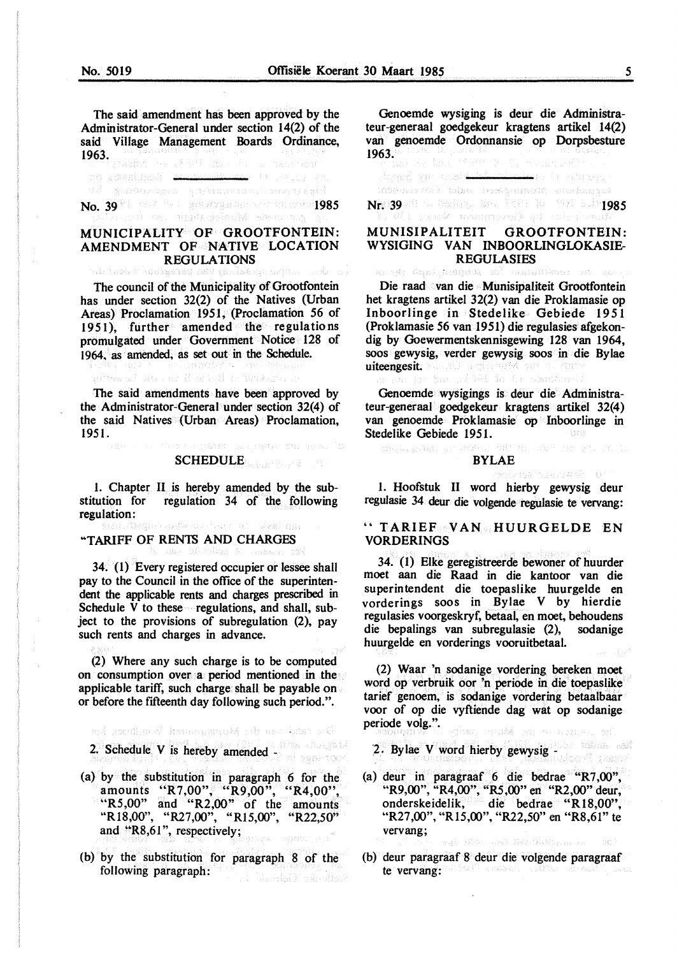The said amendment has been approved by the Administrator-General under section 14(2) of the said Village Management Boards Ordinance, 1963.

ro espelapoli l<del>an manala ma</del> (i retur) en

# No. 39 Planet President President President President President President President President President President P<br>No. 39 Planet President President President President President President President President President Pr

#### MUNICIPALITY OF GROOTFONTEIN: AMENDMENT OF NATIVE LOCATION REGULATIONS

The council of the Municipality of Grootfontein has under section 32(2) of the Natives (Urban Areas) Proclamation 1951, (Proclamation *56* of 1951), further amended the regulations promulgated under Government Notice 128 of 1964. as amended, as set out in the Schedule.

al on . so il quicil a lividare . The said amendments have been approved by the Administrator-General under section 32(4) of the said Natives (Urban Areas) Proclamation, 1951.

# SCHEDULE **Section**

ailayworku Grund Assique .

langus filmson

1. Chapter II is hereby amended by the substitution for regulation 34 of the following regulation:

#### "TARIFF OF REN1S AND CHARGES

34~ (I) Every registered occupier or lessee shall pay to the Council in the office of the superintendent the applicable rents and charges prescribed in Schedule  $\bar{V}$  to these regulations, and shall, subject to the provisions of subregulation (2), pay such rents and charges in advance.

(2) Where any such charge is to be computed on consumption over a period mentioned in the applicable tariff, such charge shall be payable on or before the fifteenth day following such period.".

nd Joedini & BandaganuM ab ne Casa y G

2. Schedule V is hereby amended -

- (a) by the substitution in paragraph 6 for the amounts "R7,00", "R9,00", "R4,00", "R5,00" and "R2,00" of the amounts "R18,00", "R27,00", "Rl5,00", "R22,50" and \*R8,61", respectively;
- (b) by the substitution for paragraph 8 of the following paragraph: and the Auto Service of the Service

Genoemde wysiging is deur die Administrateur-generaal goedgekeur kragtens artikel 14(2) van genoemde Ordonnansie op Dorpsbesture 1963.

*<i>Sand vin mold* ا المعلم المعامل المعامل المعامل المعامل المعامل المعامل المعامل المعامل المعامل المعاملة المعاملة ا

morerand adm. Rossenand energings)

Nr. 39 **1985** 

SPREAMENT ST

## MUNISIPALITEIT GROOTFONTEIN: WYSIGING VAN INBOORLINGLOKASIE-REGULASIES<br>Registrations (2) Todu

Die raad van die Munisipaliteit Grootfontein bet kragtens artikel 32(2) van die Proklamasie op Inboorlinge in Stedelike Gebiede 1951 (Proklamasie 56 van 1951) die regulasies afgekondig by Goewermentskennisgewing 128 van 1964, soos gewysig, verder gewysig soos in die Bylae uiteengesit. Naande angevoerde om de zen ma nišël kriti bendane

Genoemde wysigings is deur die Administrateur-generaal goedgekeur kragtens artikel 32(4) van genoemde Proklamasie op Inboorlinge in Stedelike Gebiede 1951.

#### BYLAE

OUT TO STRAIN THE SALE AND IN

e seus de sin de

1. Hoofstuk II word hierby gewysig deur regulasie 34 deur die volgende regulasie te vervang:

#### '' T ARIEF VAN HUURGELDE EN **VORDERINGS**

34. (1) Elke geregistreerde bewoner of huurder moet aan die Raad in die kantoor van die superintendent die toepaslike huurgelde en vorderings soos in Bylae V by hierdie regulasies voorgeskryf, betaal, en moet, behoudens<br>die bepalings van subregulasie (2), sodanige die bepalings van subregulasie (2), huurgelde en vorderings vooruitbetaal.

(2) Waar 'n sodanige vordering bereken moet word op verbruik oor 'n periode in die toepaslike tarief genoem, is sodanige vordering betaalbaar voor of op die vyftiende dag wat op sodanige periode volg.".

tan imu**M** and was above ad

2. By lae V word hierby gewysig - The state of the state of the state of the state of the state of the state of the state of the state of the state of the state of the state of the state of the state of the state of the st

- (a) deur in paragraaf 6 die bedrae "R7,00", "R9,00", "R4,00", "RS,00" en "R2,00" deur, onderskeidelik, die bedrae "R18,00", "R27,00", "R15,00", "R22,50" en "R8,61" te vervang;
- (b) deur paragraaf 8 deur die volgende paragraaf te vervang:

ngt påbor med støvflitby... in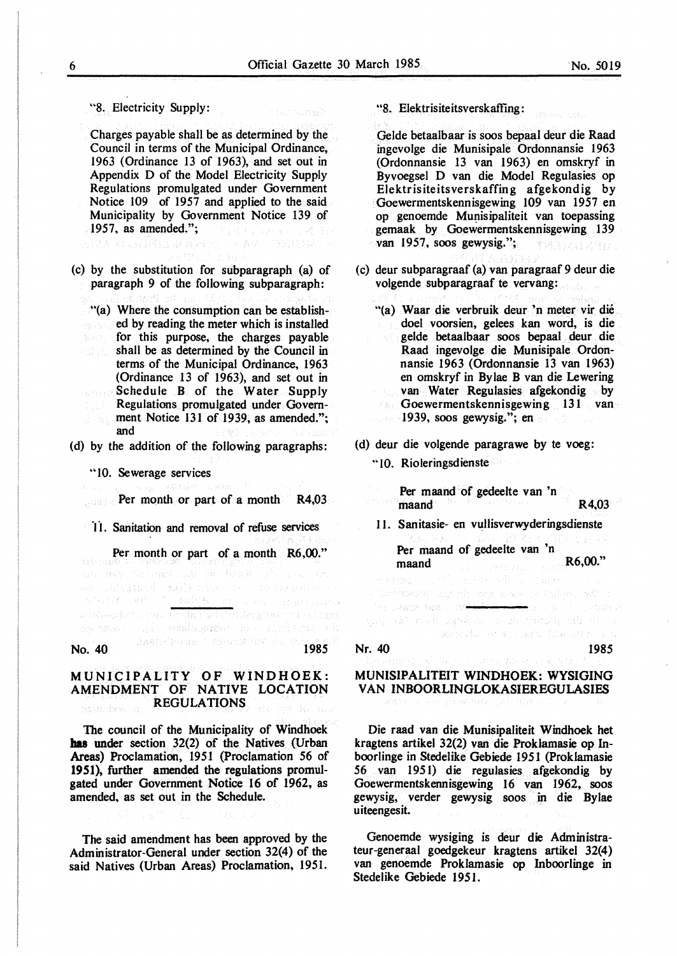"8. Electricity Supply:

Charges payable shall be as determined by the Council in terms of the Municipal Ordinance, 1963 (Ordinance 13 of 1963), and set out in Appendix D of the Model Electricity Supply Regulations promulgated under Government Notice 109 of 1957 and applied to the said Municipality by Government Notice 139 of 1957, as amended.";

(c) by the substitution for subparagraph (a) of paragraph 9 of the following subparagraph:

.. (a) Where the consumption can be established by reading the meter which is installed for this purpose, the charges payable shall be as determined by the Council in a sa Pilipina.<br>Tanahira da Sa terms of the Municipal Ordinance, 1963 (Ordinance 13 of 1963), and set out in Schedule B of the Water Supply Regulations promulgated under Government Notice 131 of 1939, as amended."; and

(d) by the addition of the following paragraphs:

•• 10. Sewerage services

**Per month or part of a month R4,03** 

11. Sanitation and removal of refuse services

Per month or part of a month **R6,00."**  an Alexand Mirano to 1938 veery<br>Alexandr Mirano to 1938 veery Service Contractory stabeskit, svensk konstruktøyner i tringer capundan di seminganin da karibana da No. 40 **1985** 

MUNICIPALITY OF WINDHOEK: AMENDMENT OF NATIVE LOCATION **REGULATIONS** adashko e

The council of the Municipality of Windhoek **has** under section 32(2) of the Natives (Urban Areas) Proclamation, 1951 (Proclamation 56 of 1951), further amended the regulations promulgated under Government Notice 16 of 1962, as amended, as set out in the Schedule.

The said amendment has been approved by the Administrator-General under section 32(4) of the said Natives (Urban Areas) Proclamation, 1951. "8. Elektrisiteitsverskaffing:

Gelde betaalbaar is soos bepaal deur die Raad ingcvolge die Munisipale Ordonnansie 1963 (Ordonnansie 13 van 1963) en omskryf in Byvoegsel D van die Model Regulasies op Elektrisiteitsverskaffing afgekondig by Goewermentskennisgewing 109 van 1957 en op genoemde Munisipaliteit van toepassing gemaak by Goewermentskennisgewing 139 van 1957, soos gewysig."; TMERGETE

- (c) deur subparagraaf (a) van paragraaf 9 deur die volgende subparagraaf te vervang:
	- "(a) Waar die verbruik deur 'n meter vir die doel voorsien, gelees kan word, is die gelde betaalbaar soos bepaal deur die Raad ingevolge die Munisipale Ordonnansie 1963 (Ordonnansie 13 van 1963) en omskryf in Bylae B van die Lewering van Water Regulasies afgekondig by Goewermentskennisgewing 131 van 1939, soos gewysig.": en
- (d) deur die volgende paragrawe by te voeg:
	- "10. Rioleringsdienste

Per maand of gedeelte van 'n maand R4,03 11. Sanitasie- en vullisverwyderingsdienste Per maand of gedeelte van 'n maand **R6,00."** 

e pisag so est surfrideling tags of the case alone is a talegal ies utane bus chr<del>onidoj ("Int</del>he vel 2002" definis r ylag a shi muka lagaanka ilin za makazigi sala min yir computer or grounds, have attending

#### Nr. 40 1985

#### **MUNISIPALITEIT WINDHOEK: WYSIGING VAN INBOORLINGLOKASIEREGULASIES**

Die raad van die Munisipaliteit Windhoek het kragtens artikel 32(2) van die Proklamasie op Inboorlinge in Stedelike Gebiede 1951 (Proklamasie 56 van 1951) die regulasies afgekondig by Goewermentskennisgewing 16 van 1962, soos gewysig, verder gewysig soos in die Bylae uiteengesit.

Genoemde wysiging is deur die Administrateur-generaal goedgekeur kragtens artikel 32(4) van genoemde Proklamasie op Inboorlinge in Stedelike Gebiede 1951.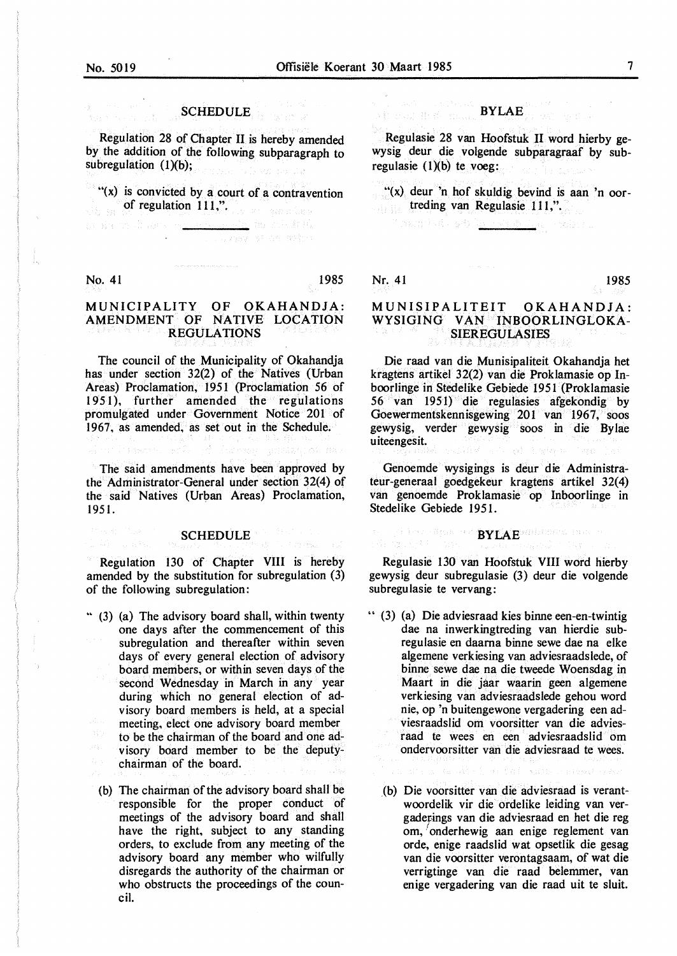### SCHEDULE **SCHEDULE**

Regulation 28 of Chapter II is hereby amended by the addition of the following subparagraph to subregulation  $(1)(b)$ ; n<br>Parta anti-san Car

"(x) is convicted by a court of a contravention of regulation 111,".

> <u>estr</u> no schurch and the same of an anima

No. 41 1985

#### MUNICIPALITY OF OKAHANDJA: AMENDMENT OF NATIVE LOCATION REGULATIONS

The council of the Municipality of Okahandja has under section 32(2) of the Natives (Urban Areas) Proclamation, 1951 (Proclamation 56 of 1951), further amended the regulations promulgated under Government Notice 201 of 1967, as amended, as set out in the Schedule.

The said amendments have been approved by the Administrator-General under section 32(4) of the said Natives (Urban Areas) Proclamation, 1951.

## **SCHEDULE**

Regulation 130 of Chapter VIII is hereby amended by the substitution for subregulation (3) of the following subregulation:

- " (3) (a) The advisory board shall, within twenty one days after the commencement of this subregulation and thereafter within seven days of every general election of advisory board members, or within seven days of the second Wednesday in March in any year during which no general election of advisory board members is held, at a special meeting, elect one advisory board member to be the chairman of the board and one advisory board member to be the deputychairman of the board.
	- (b) The chairman of the advisory board shall be responsible for the proper conduct of meetings of the advisory board and shall have the right, subject to any standing orders, to exclude from any meeting of the advisory board any member who wilfully disregards the authority of the chairman or who obstructs the proceedings of the council.

# , and the set  $\operatorname{BYLAE}_{\mathcal{D}}^{(n),\{n\}}$  , will be

Regulasie 28 van Hoofstuk II word hierby gewysig deur die volgende subparagraaf by subregulasie  $(1)(b)$  te voeg:

"(x) deur 'n hof skuldig bevind is aan 'n oortreding van Regulasie 111,".

ال التأكد ال<u>لي الكويلات وا</u> أكثر أكدانيون

Nr. 41 1985

#### MUNISIPALITEIT OKAHANDJA: WYSIGING VAN INBOORLINGLOKA-SIEREGULASIES

Die raad van die Munisipaliteit Okahandja het kragtens artikel 32(2) van die Proklamasie op Inboorlinge in Stedelike Gebiede 1951 (Proklamasie 56 van 1951) die regulasies afgekondig by Goewermentskennisgewing 201 van 1967, soos gewysig, verder gewysig soos in die Bylae uiteengesit.

Genoemde wysigings is deur die Administrateur-generaal goedgekeur kragtens artikel 32( 4) van genoemde Proklamasie op Inboorlinge in Stedelike Gebiede 1951.

## **BYLAE** *BYLA*E  $\mathbb{R}^n$

Regulasie 130 van Hoofstuk VIII word hierby gewysig deur subregulasie (3) deur die volgende subregulasie te vervang:

- " (3) (a) Die adviesraad kies binne een-en-twintig dae na inwerkingtreding van hierdie subregulasie en daarna binne sewe dae na elke algemene verkiesing van adviesraadslede, of binne sewe dae na die tweede Woensdag in Maart in die jaar waarin geen algemene verkiesing van adviesraadslede gehou word nie, op 'n buitengewone vergadering een adviesraadslid om voorsitter van die adviesraad te wees en een adviesraadslid om ondervoorsitter van die adviesraad te wees.
	- a din 1963 and the subset of the state
	- (b) Die voorsitter van die adviesraad is verantwoordelik vir die ordelike leiding van vergaderings van die adviesraad en het die reg om, 'onderhewig aan enige reglement van orde, enige raadslid wat opsetlik die gesag van die voorsitter verontagsaam, of wat die verrigtinge van die raad belemmer, van enige vergadering van die raad uit te sluit.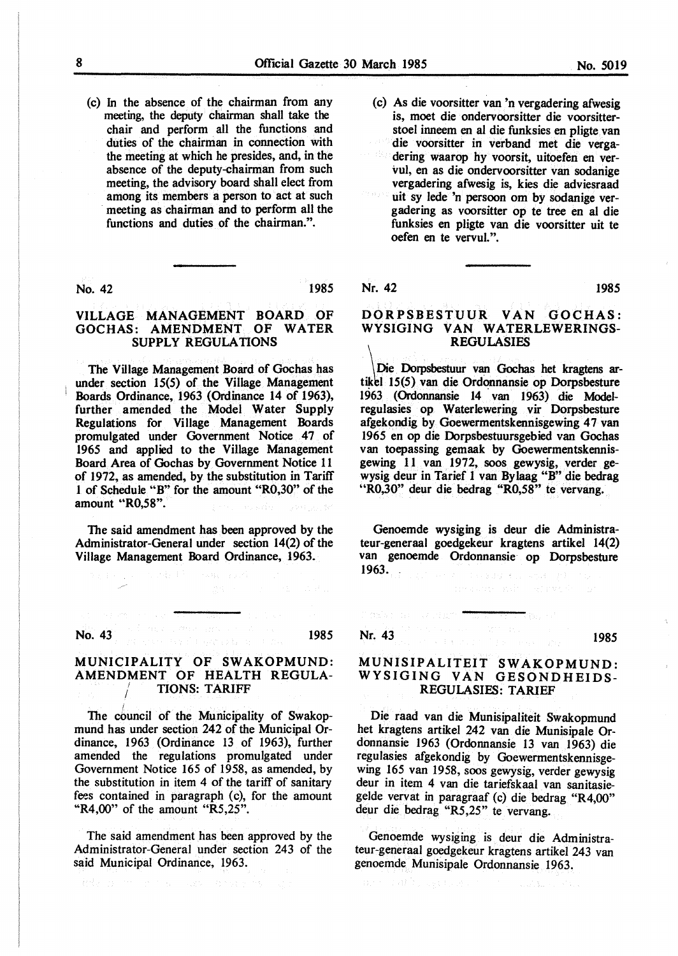(c) In the absence of the chairman from any meeting, the deputy chairman shall take the chair and perform all the functions and duties of the chairman in connection with the meeting at which he presides, and, in the absence of the deputy-chairman from such meeting, the advisory board shall elect from among its members a person to act at such meeting as chairman and to perform all the functions and duties of the chairman.".

No. 42 1985

#### **VILLAGE MANAGEMENT BOARD OF GOCHAS: AMENDMENT OF WATER SUPPLY REGULATIONS**

The Village Management Board of Gochas has under section 15(5) of the Village Management Boards Ordinance, 1963 (Ordinance 14 of 1963), further amended the Model Water Supply Regulations for Village Management Boards promulgated under Government Notice 47 of 1965 and applied to the Village Management Board Area of Gochas by Government Notice 11 of 1972, as amended, by the substitution in Tariff 1 of Schedule "B" for the amount "R0,30" of the amount **.. R0,58".** 

The said amendment has been approved by the Administrator-General under section 14(2) of the Village Management Board Ordinance, 1963.

No. 43 **1985 No. 443 1985** 

#### MUNICIPALITY OF SWAKOPMUND: AMENDMENT OF HEALTH REGULA-**TIONS: TARIFF**

The council of the Municipality of Swakopmund has under section 242 of the Municipal Ordinance, 1963 (Ordinance 13 of 1963), further amended the regulations promulgated under Government Notice 165 of 1958, as amended, by the substitution in item 4 of the tariff of sanitary fees contained in paragraph (c), for the amount "R4,00" of the amount "R5,25".

The said amendment has been approved by the Administrator-General under section 243 of the said Municipal Ordinance, 1963.

interprimerance as a presents app

(c) As die voorsitter van 'n vergadering afwesig is, moet die ondervoorsitter die voorsitterstoel inneem en al die funksies en pligte van die voorsitter in verband met die verga-AW. dering waarop hy voorsit, uitoefen en vervul, en as die ondervoorsitter van sodanige vergadering afwesig is, kies die adviesraad uit sy lede 'n persoon om by sodanige vergadering as voorsitter op te tree en al die funksies en pligte van die voorsitter uit te oefen en te vervul.".

#### Nr. 42 1985

#### DORPSBESTUUR VAN GOCHAS: WYSIGING VAN WATERLEWERINGS-REGULASIES

\ Die Dorpsbestuur van Gochas het kragtens artikbl 15(5) van die Ordonnansie op Dorpsbesture 1963 (Ordonnansie 14 van 1963) die Modelregulasies op Waterlewering vir Dorpsbesture afgekondig by Goewermentskennisgewing 47 van 1965 en op die Dorpsbestuursgebied van Gochas van toepassing gemaak by Goewermentskennisgewing 11 van 1972, soos gewysig, verder gewysig deur in Tarief 1 van Bylaag "B" die bedrag "R0,30" deur die bedrag "R0,58" te vervang.

Genoemde wysiging is deur die Administrateur-generaal goedgekeur kragtens artikel 14(2) van genoemde Ordonnansie op Dorpsbesture 1963. (December 2011) (2012) 2013

**Nr. 43** 1985

Friday of Weight

#### MUNISIPALITEIT SW AKOPMUND: WYSIGING VAN GESONDHEIDS-REGULASIES: TARIEF

Die raad van die Munisipaliteit Swakopmund bet kragtens artikel 242 van die Munisipale Ordonnansie 1963 (Ordonnansie 13 van 1963) die regulasies afgekondig by Goewermentskennisgewing 165 van 1958, soos gewysig, verder gewysig deur in item 4 van die tariefskaal van sanitasiegelde vervat in paragraaf (c) die bedrag "R4,00" deur die bedrag "R5,25" te vervang.

Genoemde wysiging is deur die Administrateur-generaal goedgekeur kragtens artikel 243 van genoemde Munisipale Ordonnansie 1963.

and Party of the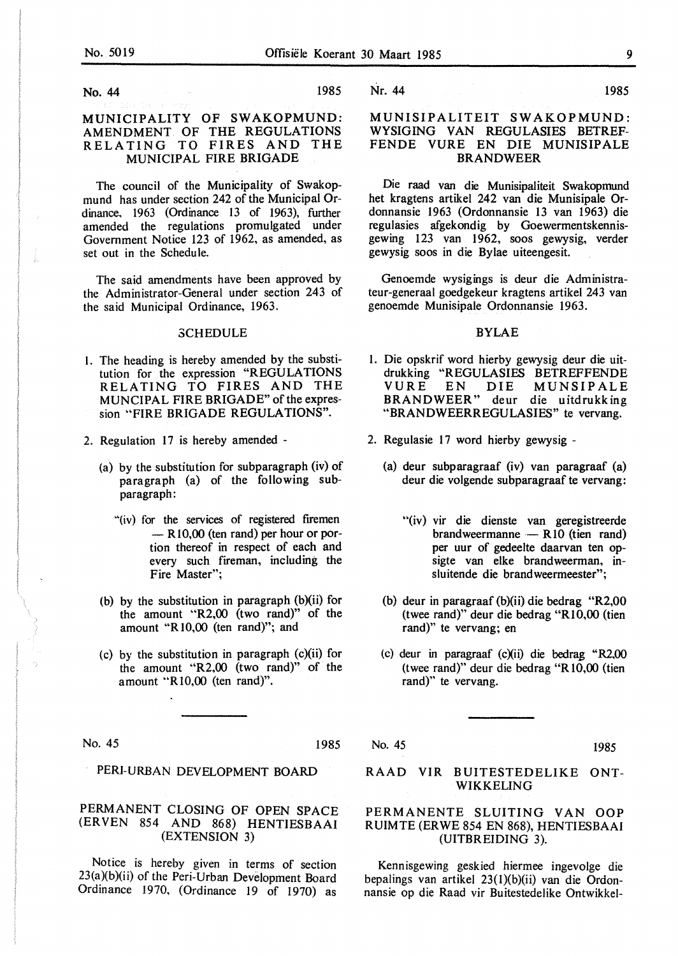No. 44 1985

#### MUNICIPALITY OF SWAKOPMUND: AMENDMENT OF THE REGULATIONS RELATING TO FIRES AND THE MUNICIPAL FIRE BRIGADE

The council of the Municipality of Swakopmund has under section 242 of the Municipal Ordinance. 1963 (Ordinance 13 of 1963), further amended the regulations promulgated under Government Notice 123 of 1962, as amended, as set out in the Schedule.

The said amendments have been approved by the Administrator-General under section 243 of the said Municipal Ordinance, 1963.

#### **SCHEDULE**

- l. The heading is hereby amended by the substitution for the expression "REGULATIONS RELATING TO FIRES AND THE MUNCIPAL FIRE BRIGADE" of the expression "FIRE BRIGADE REGULATIONS".
- 2. Regulation 17 is hereby amended
	- (a) by the substitution for subparagraph (iv) of paragraph (a) of the following subparagraph:
		- "(iv) for the services of registered firemen  $-$  R10,00 (ten rand) per hour or portion thereof in respect of each and every such fireman, including the Fire Master";
	- (b) by the substitution in paragraph (b)(ii) for the amount "R2,00 (two rand)" of the amount "R 10,00 (ten rand)"; and
	- (c) by the substitution in paragraph (c)(ii) for the amount "R2,00 (two rand)" of the amount "Rl0,00 (ten rand)".

No. 45 1985

PERl-URBAN DEVELOPMENT BOARD

#### PERMANENT CLOSING OF OPEN SPACE (ER VEN 854 AND 868) HENTIESBAAI (EXTENSION 3)

Notice is hereby given in terms of section  $23(a)(b)(ii)$  of the Peri-Urban Development Board Ordinance 1970, (Ordinance 19 of 1970) as

Nr. 44 1985

#### **MUNISIPALITEIT SWAKOPMUND:**  WYSIGING VAN REGULASIES BETREF-FENDE VURE EN DIE MUNISIPALE **BRANDWEER**

Die raad van die Munisipaliteit Swakopmund het kragtens artikel 242 van die Munisipale Ordonnansie 1963 (Ordonnansie 13 van 1963) die regulasies afgekondig by Goewermentskennisgewing 123 van 1962, soos gewysig, verder gewysig soos in die Bylae uiteengesit.

Genoemde wysigings is deur die Administrateur-generaal goedgekeur kragtens artikel 243 van genoemde Munisipale Ordonnansie 1963.

#### BYLAE

- 1. Die opskrif word hierby gewysig deur die uitdrukking "REGULASIES BETREFFENDE VURE EN DIE MUNSIPALE BRANDWEER" deur die uitdrukking "BRANDWEERREGULASIES" te vervang.
- 2. Regulasie 17 word hierby gewysig
	- (a) deur subparagraaf (iv) van paragraaf (a) deur die volgende subparagraaf te vervang:
		- "(iv) vir die dienste van geregistreerde brandweermanne  $-$  R<sub>10</sub> (tien rand) per uur of gedeelte daarvan ten opsigte van elke brandweerman, insluitende die brandweermeester";
	- (b) deur in paragraaf (b)(ii) die bedrag "R2,00 (twee rand)" deur die bedrag "Rl0,00 (tien rand)" te vervang; en
	- (c) deur in paragraaf (c)(ii) die bedrag "R2,00 (twee rand)" deur die bedrag "R 10,00 (tien rand)" te vervang.
- No. 45 1985

#### RAAD VIR BUITESTEDELIKE ONT-WIKKELING

#### PERMANENTE SLUITING VAN OOP R UIM TE (ER WE 854 EN 868), HENTIESBAAI (UITBREIDING 3).

Kennisgewing geskied hiermee ingevolge die bepalings van artikel 23(1)(b)(ii) van die Ordonnansie op die Raad vir Buitestedelike Ontwikkel-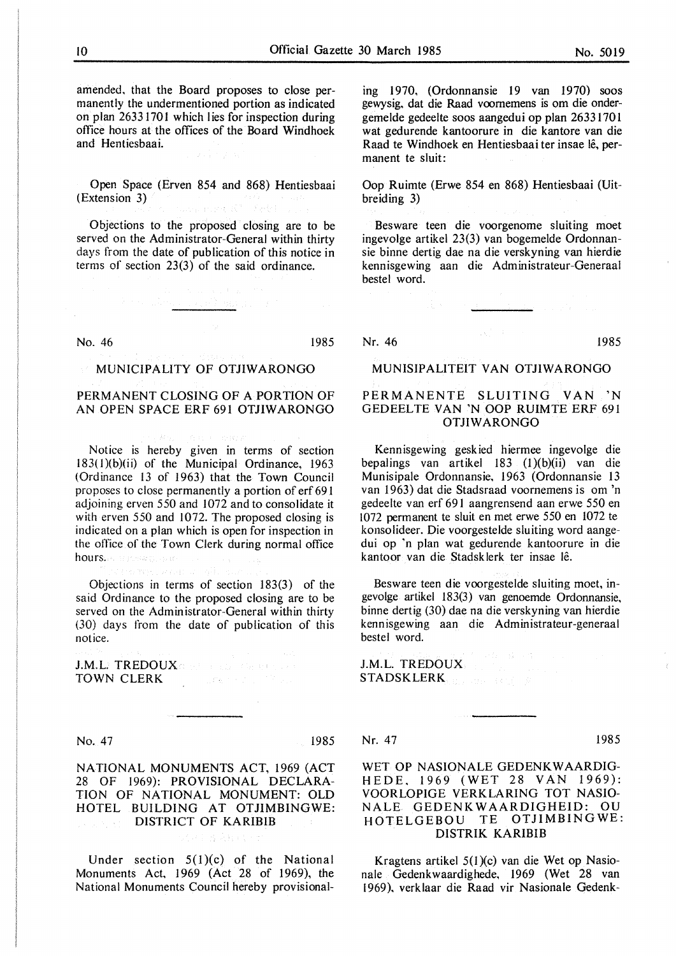amended, that the Board proposes to close permanently the undermentioned portion as indicated on plan 26331701 which lies for inspection during office hours at the offices of the Board Windhoek and Hentiesbaai.

Open Space (Erven 854 and 868) Hentiesbaai (Extension 3) and a company of the Seated

Objections to the proposed closing are to be served on the Administrator-General within thirty days from the date of publication of this notice in terms of section 23(3) of the said ordinance.

No. 46 1985

#### **MUNICIPALITY OF OTJIWARONGO**

Antonio Arthur Constitution of the

#### PERMANENT CLOSING OF A PORTION OF AN OPEN SPACE ERF 691 OTJIWARONGO

Notice is hereby given in terms of section l83(I)(b)(ii) of the Municipal Ordinance, 1963 (Ordinance 13 of 1963) that the Town Council proposes to close permanently a portion of erf 691 adjoining erven 550 and 1072 and to consolidate it with erven 550 and 1072. The proposed closing is indicated on a plan which is open for inspection in the office of the Town Clerk during normal office hours. In the second one

Objections in terms of section 183(3) of the said Ordinance to the proposed closing are to be served on the Administrator-General within thirty (30) days from the date of publication of this notice.

J.M.L. TREDOUX and the substantial contract TOWN CLERK **CONSTRUCTION** 

No. 47 1985

NATIONAL MONUMENTS ACT, 1969 (ACT 28 OF 1969): PROVISIONAL DECLARA-TION OF NATIONAL MONUMENT: OLD HOTEL BUILDING AT OTJIMBINGWE: DISTRICT OF KARIBIB ing nasa sa k

Under section  $5(1)(c)$  of the National Monuments Act, 1969 (Act 28 of 1969), the National Monuments Council hereby provisionaling 1970, (Ordonnansie 19 van 1970) soos gewysig. dat die Raad voomemens is om die ondergeme Ide gedeelte soos aangedui op plan 2633170 l wat gedurende kantoorure in die kantore van die Raad te Windhoek en Hentiesbaai ter insae lê, permanent te sluit:

Oop Ruimte (Erwe 854 en 868) Hentiesbaai (Uitbreiding 3)

Besware teen die voorgenome sluiting moet ingevolge artikel 23(3) van bogemelde Ordonnansie binne dertig dae na die verskyning van hierdie kennisgewing aan die Administrateur-Generaal bestel word.

Nr. 46 1985

#### MUNISIPALITEIT VAN OTJIWARONGO

#### PERMANENTE SLUITING VAN 'N GEDEELTE VAN 'N OOP RUIMTE ERF 691 OTJIWARONGO

Kennisgewing geskied hiermee ingevolge die bepalings van artikel 183 (l)(b)(ii) van die Munisipale Ordonnansie, 1963 (Ordonnansie 13 van 1963) dat die Stadsraad voornemens is om 'n gedeelte van erf 691 aangrensend aan erwe 550 en 1072 permanent te sluit en met erwe 550 en 1072 te konsolideer. Die voorgestelde sluiting word aangedui op 'n plan wat gedurende kantoorure in die kantoor van die Stadsklerk ter insae le.

Besware teen die voorgestelde sluiting moet, ingevolge artikel 183(3) van genoemde Ordonnansie, binne dertig (30) dae na die verskyning van hierdie kennisgewing aan die Administrateur-generaal bestel word.

J.M.L. TREDOUX STADSKLERK NELL RESERVE

#### Nr. 47 1985

#### WET OP NASIONALE GEDENKWAARDIG-H EDE. 1969 (WET 28 VAN 1969): VOORLOPIGE VERKLARING TOT NASIO-N ALE GEDENKWAARDIGHEID: OU HOTELGEBOU TE OTJIMBINGWE: DISTRIK KARIBIB

Kragtens artikel 5(1 )(c) van die Wet op Nasionale Gedenkwaardighede, 1969 (Wet 28 van 1969). verklaar die Raad vir Nasionale Gedenk